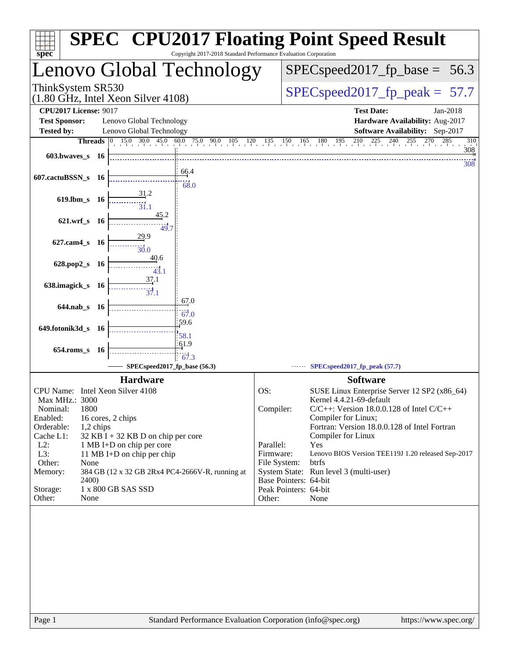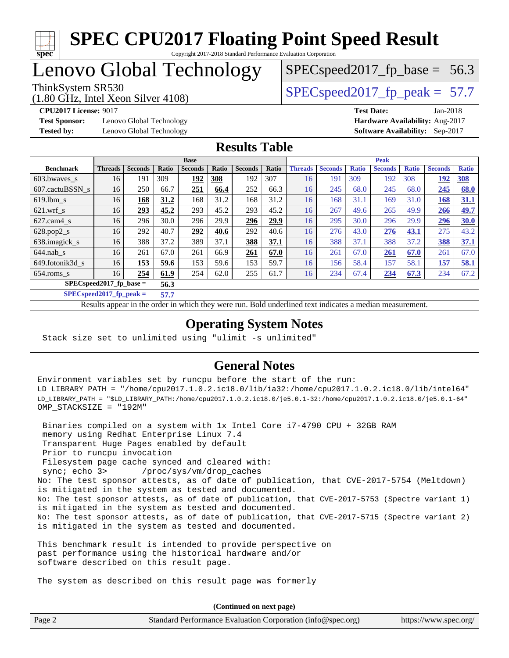

### Lenovo Global Technology

(1.80 GHz, Intel Xeon Silver 4108)

ThinkSystem SR530  $SPEC speed2017$  fp\_peak = 57.7

 $SPECspeed2017_fp\_base = 56.3$ 

**[Test Sponsor:](http://www.spec.org/auto/cpu2017/Docs/result-fields.html#TestSponsor)** Lenovo Global Technology **[Hardware Availability:](http://www.spec.org/auto/cpu2017/Docs/result-fields.html#HardwareAvailability)** Aug-2017 **[Tested by:](http://www.spec.org/auto/cpu2017/Docs/result-fields.html#Testedby)** Lenovo Global Technology **[Software Availability:](http://www.spec.org/auto/cpu2017/Docs/result-fields.html#SoftwareAvailability)** Sep-2017

**[CPU2017 License:](http://www.spec.org/auto/cpu2017/Docs/result-fields.html#CPU2017License)** 9017 **[Test Date:](http://www.spec.org/auto/cpu2017/Docs/result-fields.html#TestDate)** Jan-2018

#### **[Results Table](http://www.spec.org/auto/cpu2017/Docs/result-fields.html#ResultsTable)**

|                           | <b>Base</b>    |                |       |                |       |                | <b>Peak</b> |                |                |              |                |              |                |              |
|---------------------------|----------------|----------------|-------|----------------|-------|----------------|-------------|----------------|----------------|--------------|----------------|--------------|----------------|--------------|
| <b>Benchmark</b>          | <b>Threads</b> | <b>Seconds</b> | Ratio | <b>Seconds</b> | Ratio | <b>Seconds</b> | Ratio       | <b>Threads</b> | <b>Seconds</b> | <b>Ratio</b> | <b>Seconds</b> | <b>Ratio</b> | <b>Seconds</b> | <b>Ratio</b> |
| 603.bwaves_s              | 16             | 191            | 309   | 192            | 308   | 192            | 307         | 16             | 191            | 309          | 192            | 308          | 192            | <b>308</b>   |
| 607.cactuBSSN s           | 16             | 250            | 66.7  | 251            | 66.4  | 252            | 66.3        | 16             | 245            | 68.0         | 245            | 68.0         | 245            | 68.0         |
| $619.1$ bm s              | 16             | 168            | 31.2  | 168            | 31.2  | 168            | 31.2        | 16             | 168            | 31.1         | 169            | 31.0         | 168            | 31.1         |
| $621$ .wrf s              | 16             | 293            | 45.2  | 293            | 45.2  | 293            | 45.2        | 16             | 267            | 49.6         | 265            | 49.9         | 266            | 49.7         |
| $627$ .cam $4$ s          | 16             | 296            | 30.0  | 296            | 29.9  | 296            | 29.9        | 16             | 295            | 30.0         | 296            | 29.9         | 296            | <b>30.0</b>  |
| $628.pop2_s$              | 16             | 292            | 40.7  | 292            | 40.6  | 292            | 40.6        | 16             | 276            | 43.0         | 276            | 43.1         | 275            | 43.2         |
| 638.imagick_s             | 16             | 388            | 37.2  | 389            | 37.1  | 388            | 37.1        | 16             | 388            | 37.1         | 388            | 37.2         | 388            | 37.1         |
| $644$ .nab s              | 16             | 261            | 67.0  | 261            | 66.9  | 261            | 67.0        | 16             | 261            | 67.0         | 261            | 67.0         | 261            | 67.0         |
| 649.fotonik3d s           | 16             | 153            | 59.6  | 153            | 59.6  | 153            | 59.7        | 16             | 156            | 58.4         | 157            | 58.1         | 157            | 58.1         |
| $654$ .roms s             | 16             | 254            | 61.9  | 254            | 62.0  | 255            | 61.7        | 16             | 234            | 67.4         | 234            | 67.3         | 234            | 67.2         |
| $SPECspeed2017$ fp base = |                |                | 56.3  |                |       |                |             |                |                |              |                |              |                |              |

**[SPECspeed2017\\_fp\\_peak =](http://www.spec.org/auto/cpu2017/Docs/result-fields.html#SPECspeed2017fppeak) 57.7**

Results appear in the [order in which they were run.](http://www.spec.org/auto/cpu2017/Docs/result-fields.html#RunOrder) Bold underlined text [indicates a median measurement](http://www.spec.org/auto/cpu2017/Docs/result-fields.html#Median).

#### **[Operating System Notes](http://www.spec.org/auto/cpu2017/Docs/result-fields.html#OperatingSystemNotes)**

Stack size set to unlimited using "ulimit -s unlimited"

#### **[General Notes](http://www.spec.org/auto/cpu2017/Docs/result-fields.html#GeneralNotes)**

Environment variables set by runcpu before the start of the run: LD\_LIBRARY\_PATH = "/home/cpu2017.1.0.2.ic18.0/lib/ia32:/home/cpu2017.1.0.2.ic18.0/lib/intel64" LD\_LIBRARY\_PATH = "\$LD\_LIBRARY\_PATH:/home/cpu2017.1.0.2.ic18.0/je5.0.1-32:/home/cpu2017.1.0.2.ic18.0/je5.0.1-64" OMP\_STACKSIZE = "192M"

 Binaries compiled on a system with 1x Intel Core i7-4790 CPU + 32GB RAM memory using Redhat Enterprise Linux 7.4 Transparent Huge Pages enabled by default Prior to runcpu invocation Filesystem page cache synced and cleared with: sync; echo 3> /proc/sys/vm/drop\_caches No: The test sponsor attests, as of date of publication, that CVE-2017-5754 (Meltdown) is mitigated in the system as tested and documented. No: The test sponsor attests, as of date of publication, that CVE-2017-5753 (Spectre variant 1) is mitigated in the system as tested and documented. No: The test sponsor attests, as of date of publication, that CVE-2017-5715 (Spectre variant 2) is mitigated in the system as tested and documented.

This benchmark result is intended to provide perspective on past performance using the historical hardware and/or software described on this result page.

The system as described on this result page was formerly

Page 2 Standard Performance Evaluation Corporation [\(info@spec.org\)](mailto:info@spec.org) <https://www.spec.org/> **(Continued on next page)**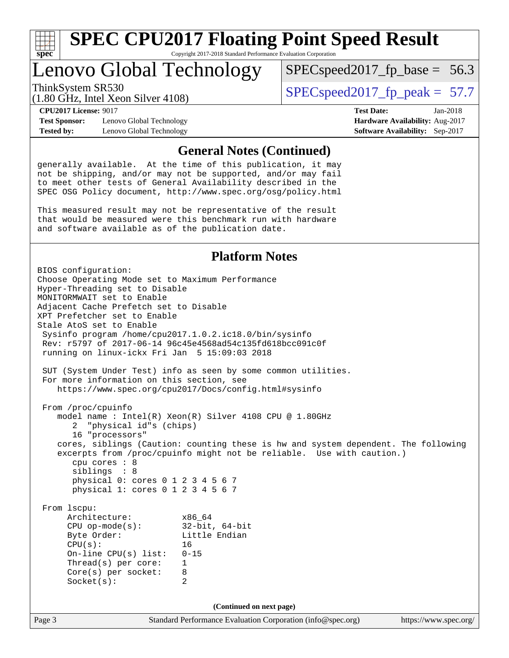

Lenovo Global Technology

ThinkSystem SR530  $SPIz$  Intel Year Silver 4108)  $SPEC speed2017$  fp\_peak = 57.7

 $SPECspeed2017_fp\_base = 56.3$ 

(1.80 GHz, Intel Xeon Silver 4108)

**[Test Sponsor:](http://www.spec.org/auto/cpu2017/Docs/result-fields.html#TestSponsor)** Lenovo Global Technology **[Hardware Availability:](http://www.spec.org/auto/cpu2017/Docs/result-fields.html#HardwareAvailability)** Aug-2017 **[Tested by:](http://www.spec.org/auto/cpu2017/Docs/result-fields.html#Testedby)** Lenovo Global Technology **[Software Availability:](http://www.spec.org/auto/cpu2017/Docs/result-fields.html#SoftwareAvailability)** Sep-2017

**[CPU2017 License:](http://www.spec.org/auto/cpu2017/Docs/result-fields.html#CPU2017License)** 9017 **[Test Date:](http://www.spec.org/auto/cpu2017/Docs/result-fields.html#TestDate)** Jan-2018

#### **[General Notes \(Continued\)](http://www.spec.org/auto/cpu2017/Docs/result-fields.html#GeneralNotes)**

generally available. At the time of this publication, it may not be shipping, and/or may not be supported, and/or may fail to meet other tests of General Availability described in the SPEC OSG Policy document, <http://www.spec.org/osg/policy.html>

This measured result may not be representative of the result that would be measured were this benchmark run with hardware and software available as of the publication date.

#### **[Platform Notes](http://www.spec.org/auto/cpu2017/Docs/result-fields.html#PlatformNotes)**

Page 3 Standard Performance Evaluation Corporation [\(info@spec.org\)](mailto:info@spec.org) <https://www.spec.org/> BIOS configuration: Choose Operating Mode set to Maximum Performance Hyper-Threading set to Disable MONITORMWAIT set to Enable Adjacent Cache Prefetch set to Disable XPT Prefetcher set to Enable Stale AtoS set to Enable Sysinfo program /home/cpu2017.1.0.2.ic18.0/bin/sysinfo Rev: r5797 of 2017-06-14 96c45e4568ad54c135fd618bcc091c0f running on linux-ickx Fri Jan 5 15:09:03 2018 SUT (System Under Test) info as seen by some common utilities. For more information on this section, see <https://www.spec.org/cpu2017/Docs/config.html#sysinfo> From /proc/cpuinfo model name : Intel(R) Xeon(R) Silver 4108 CPU @ 1.80GHz 2 "physical id"s (chips) 16 "processors" cores, siblings (Caution: counting these is hw and system dependent. The following excerpts from /proc/cpuinfo might not be reliable. Use with caution.) cpu cores : 8 siblings : 8 physical 0: cores 0 1 2 3 4 5 6 7 physical 1: cores 0 1 2 3 4 5 6 7 From lscpu: Architecture: x86\_64<br>
CPU op-mode(s): 32-bit, 64-bit CPU op-mode $(s):$ Byte Order: Little Endian CPU(s): 16 On-line CPU(s) list: 0-15 Thread(s) per core: 1 Core(s) per socket: 8 Socket(s): 2 **(Continued on next page)**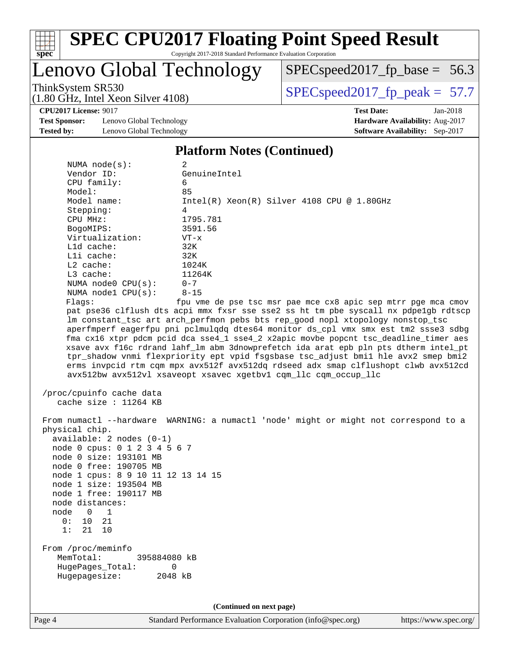

# **[SPEC CPU2017 Floating Point Speed Result](http://www.spec.org/auto/cpu2017/Docs/result-fields.html#SPECCPU2017FloatingPointSpeedResult)**

Copyright 2017-2018 Standard Performance Evaluation Corporation

### Lenovo Global Technology

[SPECspeed2017\\_fp\\_base =](http://www.spec.org/auto/cpu2017/Docs/result-fields.html#SPECspeed2017fpbase) 56.3

(1.80 GHz, Intel Xeon Silver 4108)

ThinkSystem SR530<br>(1.80 GHz, Intel Xeon Silver 4108) [SPECspeed2017\\_fp\\_peak =](http://www.spec.org/auto/cpu2017/Docs/result-fields.html#SPECspeed2017fppeak) 57.7

**[CPU2017 License:](http://www.spec.org/auto/cpu2017/Docs/result-fields.html#CPU2017License)** 9017 **[Test Date:](http://www.spec.org/auto/cpu2017/Docs/result-fields.html#TestDate)** Jan-2018

**[Test Sponsor:](http://www.spec.org/auto/cpu2017/Docs/result-fields.html#TestSponsor)** Lenovo Global Technology **[Hardware Availability:](http://www.spec.org/auto/cpu2017/Docs/result-fields.html#HardwareAvailability)** Aug-2017 **[Tested by:](http://www.spec.org/auto/cpu2017/Docs/result-fields.html#Testedby)** Lenovo Global Technology **[Software Availability:](http://www.spec.org/auto/cpu2017/Docs/result-fields.html#SoftwareAvailability)** Sep-2017

#### **[Platform Notes \(Continued\)](http://www.spec.org/auto/cpu2017/Docs/result-fields.html#PlatformNotes)**

| NUMA $node(s)$ :                                                                                                                                                                                                                                                                                                             | 2                                                                                                                                                                                                                                                                                                                                                                                                                                                                                                                                                                                                                                                                                        |
|------------------------------------------------------------------------------------------------------------------------------------------------------------------------------------------------------------------------------------------------------------------------------------------------------------------------------|------------------------------------------------------------------------------------------------------------------------------------------------------------------------------------------------------------------------------------------------------------------------------------------------------------------------------------------------------------------------------------------------------------------------------------------------------------------------------------------------------------------------------------------------------------------------------------------------------------------------------------------------------------------------------------------|
| Vendor ID:                                                                                                                                                                                                                                                                                                                   | GenuineIntel                                                                                                                                                                                                                                                                                                                                                                                                                                                                                                                                                                                                                                                                             |
| CPU family:                                                                                                                                                                                                                                                                                                                  | 6                                                                                                                                                                                                                                                                                                                                                                                                                                                                                                                                                                                                                                                                                        |
| Model:                                                                                                                                                                                                                                                                                                                       | 85                                                                                                                                                                                                                                                                                                                                                                                                                                                                                                                                                                                                                                                                                       |
| Model name:                                                                                                                                                                                                                                                                                                                  | Intel(R) Xeon(R) Silver 4108 CPU @ 1.80GHz                                                                                                                                                                                                                                                                                                                                                                                                                                                                                                                                                                                                                                               |
| Stepping:                                                                                                                                                                                                                                                                                                                    | 4                                                                                                                                                                                                                                                                                                                                                                                                                                                                                                                                                                                                                                                                                        |
| CPU MHz:                                                                                                                                                                                                                                                                                                                     | 1795.781                                                                                                                                                                                                                                                                                                                                                                                                                                                                                                                                                                                                                                                                                 |
| BogoMIPS:                                                                                                                                                                                                                                                                                                                    | 3591.56                                                                                                                                                                                                                                                                                                                                                                                                                                                                                                                                                                                                                                                                                  |
| Virtualization:                                                                                                                                                                                                                                                                                                              | $VT - x$                                                                                                                                                                                                                                                                                                                                                                                                                                                                                                                                                                                                                                                                                 |
| Lld cache:                                                                                                                                                                                                                                                                                                                   | 32K                                                                                                                                                                                                                                                                                                                                                                                                                                                                                                                                                                                                                                                                                      |
| Lli cache:                                                                                                                                                                                                                                                                                                                   | 32K                                                                                                                                                                                                                                                                                                                                                                                                                                                                                                                                                                                                                                                                                      |
| L2 cache:                                                                                                                                                                                                                                                                                                                    | 1024K                                                                                                                                                                                                                                                                                                                                                                                                                                                                                                                                                                                                                                                                                    |
| L3 cache:                                                                                                                                                                                                                                                                                                                    | 11264K                                                                                                                                                                                                                                                                                                                                                                                                                                                                                                                                                                                                                                                                                   |
| NUMA $node0$ $CPU(s)$ :                                                                                                                                                                                                                                                                                                      | $0 - 7$                                                                                                                                                                                                                                                                                                                                                                                                                                                                                                                                                                                                                                                                                  |
| NUMA nodel CPU(s):                                                                                                                                                                                                                                                                                                           | $8 - 15$                                                                                                                                                                                                                                                                                                                                                                                                                                                                                                                                                                                                                                                                                 |
| Flags:                                                                                                                                                                                                                                                                                                                       | fpu vme de pse tsc msr pae mce cx8 apic sep mtrr pge mca cmov                                                                                                                                                                                                                                                                                                                                                                                                                                                                                                                                                                                                                            |
|                                                                                                                                                                                                                                                                                                                              | pat pse36 clflush dts acpi mmx fxsr sse sse2 ss ht tm pbe syscall nx pdpelgb rdtscp<br>lm constant_tsc art arch_perfmon pebs bts rep_good nopl xtopology nonstop_tsc<br>aperfmperf eagerfpu pni pclmulqdq dtes64 monitor ds_cpl vmx smx est tm2 ssse3 sdbg<br>fma cx16 xtpr pdcm pcid dca sse4_1 sse4_2 x2apic movbe popcnt tsc_deadline_timer aes<br>xsave avx f16c rdrand lahf_lm abm 3dnowprefetch ida arat epb pln pts dtherm intel_pt<br>tpr_shadow vnmi flexpriority ept vpid fsgsbase tsc_adjust bmil hle avx2 smep bmi2<br>erms invpcid rtm cqm mpx avx512f avx512dq rdseed adx smap clflushopt clwb avx512cd<br>avx512bw avx512vl xsaveopt xsavec xgetbvl cqm_llc cqm_occup_llc |
| /proc/cpuinfo cache data<br>cache size : 11264 KB                                                                                                                                                                                                                                                                            |                                                                                                                                                                                                                                                                                                                                                                                                                                                                                                                                                                                                                                                                                          |
| physical chip.<br>$available: 2 nodes (0-1)$<br>node 0 cpus: 0 1 2 3 4 5 6 7<br>node 0 size: 193101 MB<br>node 0 free: 190705 MB<br>node 1 cpus: 8 9 10 11 12 13 14 15<br>node 1 size: 193504 MB<br>node 1 free: 190117 MB<br>node distances:<br>node<br>$\overline{0}$<br>$\mathbf{1}$<br>10<br>21<br>0 :<br>1:<br>21<br>10 | From numactl --hardware WARNING: a numactl 'node' might or might not correspond to a                                                                                                                                                                                                                                                                                                                                                                                                                                                                                                                                                                                                     |
| From /proc/meminfo<br>MemTotal:<br>395884080 kB<br>HugePages_Total:<br>Hugepagesize:                                                                                                                                                                                                                                         | 0<br>2048 kB                                                                                                                                                                                                                                                                                                                                                                                                                                                                                                                                                                                                                                                                             |
|                                                                                                                                                                                                                                                                                                                              | (Continued on next page)                                                                                                                                                                                                                                                                                                                                                                                                                                                                                                                                                                                                                                                                 |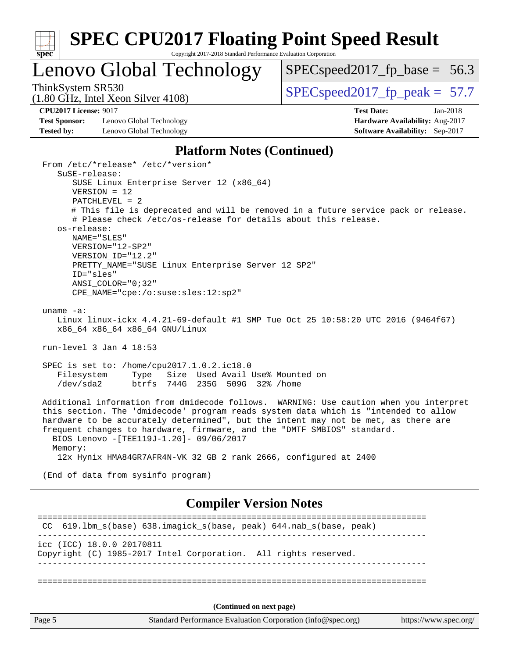

Lenovo Global Technology

 $SPECspeed2017_fp\_base = 56.3$ 

(1.80 GHz, Intel Xeon Silver 4108)

ThinkSystem SR530<br>(1.90 CHz, Intel Yogn Silver 4108) [SPECspeed2017\\_fp\\_peak =](http://www.spec.org/auto/cpu2017/Docs/result-fields.html#SPECspeed2017fppeak) 57.7

**[Test Sponsor:](http://www.spec.org/auto/cpu2017/Docs/result-fields.html#TestSponsor)** Lenovo Global Technology **[Hardware Availability:](http://www.spec.org/auto/cpu2017/Docs/result-fields.html#HardwareAvailability)** Aug-2017 **[Tested by:](http://www.spec.org/auto/cpu2017/Docs/result-fields.html#Testedby)** Lenovo Global Technology **[Software Availability:](http://www.spec.org/auto/cpu2017/Docs/result-fields.html#SoftwareAvailability)** Sep-2017

**[CPU2017 License:](http://www.spec.org/auto/cpu2017/Docs/result-fields.html#CPU2017License)** 9017 **[Test Date:](http://www.spec.org/auto/cpu2017/Docs/result-fields.html#TestDate)** Jan-2018

#### **[Platform Notes \(Continued\)](http://www.spec.org/auto/cpu2017/Docs/result-fields.html#PlatformNotes)**

Page 5 Standard Performance Evaluation Corporation [\(info@spec.org\)](mailto:info@spec.org) <https://www.spec.org/> From /etc/\*release\* /etc/\*version\* SuSE-release: SUSE Linux Enterprise Server 12 (x86\_64) VERSION = 12 PATCHLEVEL = 2 # This file is deprecated and will be removed in a future service pack or release. # Please check /etc/os-release for details about this release. os-release: NAME="SLES" VERSION="12-SP2" VERSION\_ID="12.2" PRETTY NAME="SUSE Linux Enterprise Server 12 SP2" ID="sles" ANSI\_COLOR="0;32" CPE\_NAME="cpe:/o:suse:sles:12:sp2" uname -a: Linux linux-ickx 4.4.21-69-default #1 SMP Tue Oct 25 10:58:20 UTC 2016 (9464f67) x86\_64 x86\_64 x86\_64 GNU/Linux run-level 3 Jan 4 18:53 SPEC is set to: /home/cpu2017.1.0.2.ic18.0 Filesystem Type Size Used Avail Use% Mounted on /dev/sda2 btrfs 744G 235G 509G 32% /home Additional information from dmidecode follows. WARNING: Use caution when you interpret this section. The 'dmidecode' program reads system data which is "intended to allow hardware to be accurately determined", but the intent may not be met, as there are frequent changes to hardware, firmware, and the "DMTF SMBIOS" standard. BIOS Lenovo -[TEE119J-1.20]- 09/06/2017 Memory: 12x Hynix HMA84GR7AFR4N-VK 32 GB 2 rank 2666, configured at 2400 (End of data from sysinfo program) **[Compiler Version Notes](http://www.spec.org/auto/cpu2017/Docs/result-fields.html#CompilerVersionNotes)** ============================================================================== CC 619.lbm\_s(base) 638.imagick\_s(base, peak) 644.nab\_s(base, peak) ----------------------------------------------------------------------------- icc (ICC) 18.0.0 20170811 Copyright (C) 1985-2017 Intel Corporation. All rights reserved. ------------------------------------------------------------------------------ ============================================================================== **(Continued on next page)**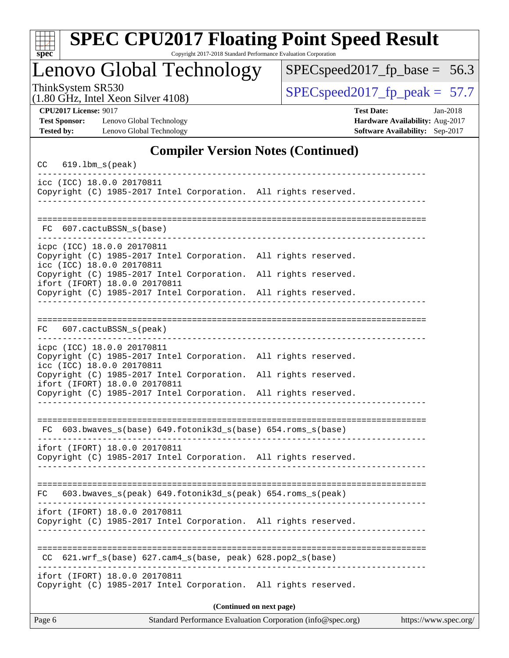| ÷<br>c<br>ı |  |  |  |  |  |  |
|-------------|--|--|--|--|--|--|

# **[SPEC CPU2017 Floating Point Speed Result](http://www.spec.org/auto/cpu2017/Docs/result-fields.html#SPECCPU2017FloatingPointSpeedResult)**

Copyright 2017-2018 Standard Performance Evaluation Corporation

Lenovo Global Technology

[SPECspeed2017\\_fp\\_base =](http://www.spec.org/auto/cpu2017/Docs/result-fields.html#SPECspeed2017fpbase) 56.3

(1.80 GHz, Intel Xeon Silver 4108)

ThinkSystem SR530<br>(1.80 GHz, Intel Xeon Silver 4108) [SPECspeed2017\\_fp\\_peak =](http://www.spec.org/auto/cpu2017/Docs/result-fields.html#SPECspeed2017fppeak) 57.7

**[Test Sponsor:](http://www.spec.org/auto/cpu2017/Docs/result-fields.html#TestSponsor)** Lenovo Global Technology **[Hardware Availability:](http://www.spec.org/auto/cpu2017/Docs/result-fields.html#HardwareAvailability)** Aug-2017 **[Tested by:](http://www.spec.org/auto/cpu2017/Docs/result-fields.html#Testedby)** Lenovo Global Technology **[Software Availability:](http://www.spec.org/auto/cpu2017/Docs/result-fields.html#SoftwareAvailability)** Sep-2017

**[CPU2017 License:](http://www.spec.org/auto/cpu2017/Docs/result-fields.html#CPU2017License)** 9017 **[Test Date:](http://www.spec.org/auto/cpu2017/Docs/result-fields.html#TestDate)** Jan-2018

#### **[Compiler Version Notes \(Continued\)](http://www.spec.org/auto/cpu2017/Docs/result-fields.html#CompilerVersionNotes)**

| CC     | $619.1$ bm_s(peak)                                      |                                                                                                               |  |                      |                       |
|--------|---------------------------------------------------------|---------------------------------------------------------------------------------------------------------------|--|----------------------|-----------------------|
|        | icc (ICC) 18.0.0 20170811                               | Copyright (C) 1985-2017 Intel Corporation. All rights reserved.                                               |  |                      |                       |
| FC.    | 607.cactuBSSN s(base)                                   |                                                                                                               |  |                      |                       |
|        | icpc (ICC) 18.0.0 20170811<br>icc (ICC) 18.0.0 20170811 | Copyright (C) 1985-2017 Intel Corporation. All rights reserved.                                               |  |                      |                       |
|        | ifort (IFORT) 18.0.0 20170811                           | Copyright (C) 1985-2017 Intel Corporation.<br>Copyright (C) 1985-2017 Intel Corporation. All rights reserved. |  | All rights reserved. |                       |
|        |                                                         |                                                                                                               |  |                      |                       |
| FC     | 607.cactuBSSN_s(peak)                                   |                                                                                                               |  |                      |                       |
|        | icpc (ICC) 18.0.0 20170811<br>icc (ICC) 18.0.0 20170811 | Copyright (C) 1985-2017 Intel Corporation. All rights reserved.                                               |  |                      |                       |
|        | ifort (IFORT) 18.0.0 20170811                           | Copyright (C) 1985-2017 Intel Corporation.<br>Copyright (C) 1985-2017 Intel Corporation. All rights reserved. |  | All rights reserved. |                       |
|        |                                                         | FC 603.bwaves_s(base) 649.fotonik3d_s(base) 654.roms_s(base)                                                  |  |                      |                       |
|        | ifort (IFORT) 18.0.0 20170811                           | Copyright (C) 1985-2017 Intel Corporation. All rights reserved.                                               |  |                      |                       |
| FC     |                                                         | 603.bwaves_s(peak) 649.fotonik3d_s(peak) 654.roms_s(peak)                                                     |  |                      |                       |
|        | ifort (IFORT) 18.0.0 20170811                           | Copyright (C) 1985-2017 Intel Corporation. All rights reserved.                                               |  |                      |                       |
| CC.    |                                                         | 621.wrf_s(base) 627.cam4_s(base, peak) 628.pop2_s(base)                                                       |  |                      |                       |
|        | ifort (IFORT) 18.0.0 20170811                           | Copyright (C) 1985-2017 Intel Corporation. All rights reserved.                                               |  |                      |                       |
|        |                                                         | (Continued on next page)                                                                                      |  |                      |                       |
| Page 6 |                                                         | Standard Performance Evaluation Corporation (info@spec.org)                                                   |  |                      | https://www.spec.org/ |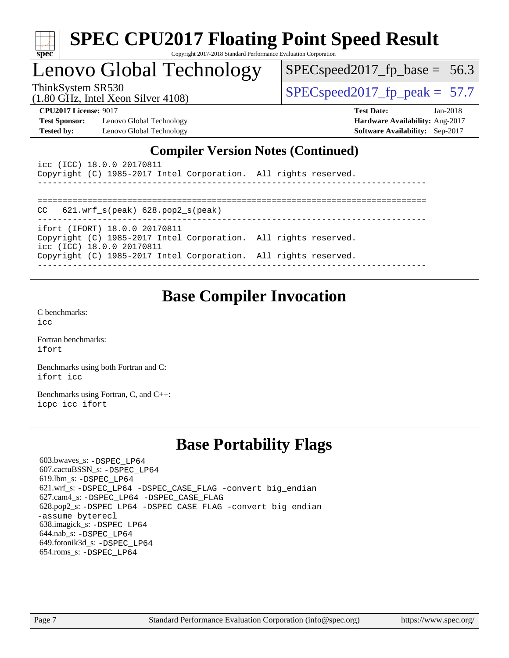| ч<br>e<br>ı.<br>c |  |  |  |  |  |  |
|-------------------|--|--|--|--|--|--|

# Lenovo Global Technology

 $SPECspeed2017_fp\_base = 56.3$ 

(1.80 GHz, Intel Xeon Silver 4108)

ThinkSystem SR530<br>(1.80 GHz, Intel Yean Silver 4108) [SPECspeed2017\\_fp\\_peak =](http://www.spec.org/auto/cpu2017/Docs/result-fields.html#SPECspeed2017fppeak) 57.7

**[Test Sponsor:](http://www.spec.org/auto/cpu2017/Docs/result-fields.html#TestSponsor)** Lenovo Global Technology **[Hardware Availability:](http://www.spec.org/auto/cpu2017/Docs/result-fields.html#HardwareAvailability)** Aug-2017 **[Tested by:](http://www.spec.org/auto/cpu2017/Docs/result-fields.html#Testedby)** Lenovo Global Technology **[Software Availability:](http://www.spec.org/auto/cpu2017/Docs/result-fields.html#SoftwareAvailability)** Sep-2017

**[CPU2017 License:](http://www.spec.org/auto/cpu2017/Docs/result-fields.html#CPU2017License)** 9017 **[Test Date:](http://www.spec.org/auto/cpu2017/Docs/result-fields.html#TestDate)** Jan-2018

### **[Compiler Version Notes \(Continued\)](http://www.spec.org/auto/cpu2017/Docs/result-fields.html#CompilerVersionNotes)**

| icc (ICC) 18.0.0 20170811<br>Copyright (C) 1985-2017 Intel Corporation. All rights reserved. |  |
|----------------------------------------------------------------------------------------------|--|
|                                                                                              |  |
| $CC$ 621.wrf $s(\text{peak})$ 628.pop2 $s(\text{peak})$                                      |  |
| ifort (IFORT) 18.0.0 20170811                                                                |  |
| Copyright (C) 1985-2017 Intel Corporation. All rights reserved.<br>icc (ICC) 18.0.0 20170811 |  |
| Copyright (C) 1985-2017 Intel Corporation. All rights reserved.                              |  |

### **[Base Compiler Invocation](http://www.spec.org/auto/cpu2017/Docs/result-fields.html#BaseCompilerInvocation)**

[C benchmarks](http://www.spec.org/auto/cpu2017/Docs/result-fields.html#Cbenchmarks): [icc](http://www.spec.org/cpu2017/results/res2018q1/cpu2017-20180108-02587.flags.html#user_CCbase_intel_icc_18.0_66fc1ee009f7361af1fbd72ca7dcefbb700085f36577c54f309893dd4ec40d12360134090235512931783d35fd58c0460139e722d5067c5574d8eaf2b3e37e92)

[Fortran benchmarks](http://www.spec.org/auto/cpu2017/Docs/result-fields.html#Fortranbenchmarks): [ifort](http://www.spec.org/cpu2017/results/res2018q1/cpu2017-20180108-02587.flags.html#user_FCbase_intel_ifort_18.0_8111460550e3ca792625aed983ce982f94888b8b503583aa7ba2b8303487b4d8a21a13e7191a45c5fd58ff318f48f9492884d4413fa793fd88dd292cad7027ca)

[Benchmarks using both Fortran and C](http://www.spec.org/auto/cpu2017/Docs/result-fields.html#BenchmarksusingbothFortranandC): [ifort](http://www.spec.org/cpu2017/results/res2018q1/cpu2017-20180108-02587.flags.html#user_CC_FCbase_intel_ifort_18.0_8111460550e3ca792625aed983ce982f94888b8b503583aa7ba2b8303487b4d8a21a13e7191a45c5fd58ff318f48f9492884d4413fa793fd88dd292cad7027ca) [icc](http://www.spec.org/cpu2017/results/res2018q1/cpu2017-20180108-02587.flags.html#user_CC_FCbase_intel_icc_18.0_66fc1ee009f7361af1fbd72ca7dcefbb700085f36577c54f309893dd4ec40d12360134090235512931783d35fd58c0460139e722d5067c5574d8eaf2b3e37e92)

[Benchmarks using Fortran, C, and C++:](http://www.spec.org/auto/cpu2017/Docs/result-fields.html#BenchmarksusingFortranCandCXX) [icpc](http://www.spec.org/cpu2017/results/res2018q1/cpu2017-20180108-02587.flags.html#user_CC_CXX_FCbase_intel_icpc_18.0_c510b6838c7f56d33e37e94d029a35b4a7bccf4766a728ee175e80a419847e808290a9b78be685c44ab727ea267ec2f070ec5dc83b407c0218cded6866a35d07) [icc](http://www.spec.org/cpu2017/results/res2018q1/cpu2017-20180108-02587.flags.html#user_CC_CXX_FCbase_intel_icc_18.0_66fc1ee009f7361af1fbd72ca7dcefbb700085f36577c54f309893dd4ec40d12360134090235512931783d35fd58c0460139e722d5067c5574d8eaf2b3e37e92) [ifort](http://www.spec.org/cpu2017/results/res2018q1/cpu2017-20180108-02587.flags.html#user_CC_CXX_FCbase_intel_ifort_18.0_8111460550e3ca792625aed983ce982f94888b8b503583aa7ba2b8303487b4d8a21a13e7191a45c5fd58ff318f48f9492884d4413fa793fd88dd292cad7027ca)

### **[Base Portability Flags](http://www.spec.org/auto/cpu2017/Docs/result-fields.html#BasePortabilityFlags)**

 603.bwaves\_s: [-DSPEC\\_LP64](http://www.spec.org/cpu2017/results/res2018q1/cpu2017-20180108-02587.flags.html#suite_basePORTABILITY603_bwaves_s_DSPEC_LP64) 607.cactuBSSN\_s: [-DSPEC\\_LP64](http://www.spec.org/cpu2017/results/res2018q1/cpu2017-20180108-02587.flags.html#suite_basePORTABILITY607_cactuBSSN_s_DSPEC_LP64) 619.lbm\_s: [-DSPEC\\_LP64](http://www.spec.org/cpu2017/results/res2018q1/cpu2017-20180108-02587.flags.html#suite_basePORTABILITY619_lbm_s_DSPEC_LP64) 621.wrf\_s: [-DSPEC\\_LP64](http://www.spec.org/cpu2017/results/res2018q1/cpu2017-20180108-02587.flags.html#suite_basePORTABILITY621_wrf_s_DSPEC_LP64) [-DSPEC\\_CASE\\_FLAG](http://www.spec.org/cpu2017/results/res2018q1/cpu2017-20180108-02587.flags.html#b621.wrf_s_baseCPORTABILITY_DSPEC_CASE_FLAG) [-convert big\\_endian](http://www.spec.org/cpu2017/results/res2018q1/cpu2017-20180108-02587.flags.html#user_baseFPORTABILITY621_wrf_s_convert_big_endian_c3194028bc08c63ac5d04de18c48ce6d347e4e562e8892b8bdbdc0214820426deb8554edfa529a3fb25a586e65a3d812c835984020483e7e73212c4d31a38223) 627.cam4\_s: [-DSPEC\\_LP64](http://www.spec.org/cpu2017/results/res2018q1/cpu2017-20180108-02587.flags.html#suite_basePORTABILITY627_cam4_s_DSPEC_LP64) [-DSPEC\\_CASE\\_FLAG](http://www.spec.org/cpu2017/results/res2018q1/cpu2017-20180108-02587.flags.html#b627.cam4_s_baseCPORTABILITY_DSPEC_CASE_FLAG) 628.pop2\_s: [-DSPEC\\_LP64](http://www.spec.org/cpu2017/results/res2018q1/cpu2017-20180108-02587.flags.html#suite_basePORTABILITY628_pop2_s_DSPEC_LP64) [-DSPEC\\_CASE\\_FLAG](http://www.spec.org/cpu2017/results/res2018q1/cpu2017-20180108-02587.flags.html#b628.pop2_s_baseCPORTABILITY_DSPEC_CASE_FLAG) [-convert big\\_endian](http://www.spec.org/cpu2017/results/res2018q1/cpu2017-20180108-02587.flags.html#user_baseFPORTABILITY628_pop2_s_convert_big_endian_c3194028bc08c63ac5d04de18c48ce6d347e4e562e8892b8bdbdc0214820426deb8554edfa529a3fb25a586e65a3d812c835984020483e7e73212c4d31a38223) [-assume byterecl](http://www.spec.org/cpu2017/results/res2018q1/cpu2017-20180108-02587.flags.html#user_baseFPORTABILITY628_pop2_s_assume_byterecl_7e47d18b9513cf18525430bbf0f2177aa9bf368bc7a059c09b2c06a34b53bd3447c950d3f8d6c70e3faf3a05c8557d66a5798b567902e8849adc142926523472) 638.imagick\_s: [-DSPEC\\_LP64](http://www.spec.org/cpu2017/results/res2018q1/cpu2017-20180108-02587.flags.html#suite_basePORTABILITY638_imagick_s_DSPEC_LP64) 644.nab\_s: [-DSPEC\\_LP64](http://www.spec.org/cpu2017/results/res2018q1/cpu2017-20180108-02587.flags.html#suite_basePORTABILITY644_nab_s_DSPEC_LP64) 649.fotonik3d\_s: [-DSPEC\\_LP64](http://www.spec.org/cpu2017/results/res2018q1/cpu2017-20180108-02587.flags.html#suite_basePORTABILITY649_fotonik3d_s_DSPEC_LP64) 654.roms\_s: [-DSPEC\\_LP64](http://www.spec.org/cpu2017/results/res2018q1/cpu2017-20180108-02587.flags.html#suite_basePORTABILITY654_roms_s_DSPEC_LP64)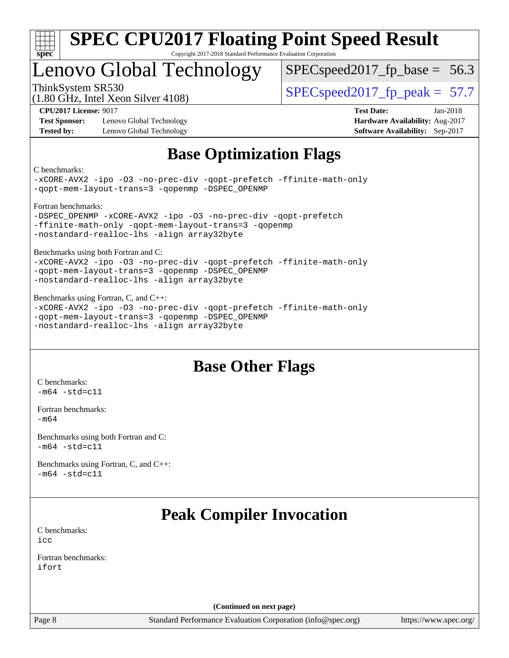

### Lenovo Global Technology

 $SPECspeed2017_fp\_base = 56.3$ 

(1.80 GHz, Intel Xeon Silver 4108)

ThinkSystem SR530<br>(1.80 GHz, Intel Year Silver 4108) [SPECspeed2017\\_fp\\_peak =](http://www.spec.org/auto/cpu2017/Docs/result-fields.html#SPECspeed2017fppeak) 57.7

**[Test Sponsor:](http://www.spec.org/auto/cpu2017/Docs/result-fields.html#TestSponsor)** Lenovo Global Technology **[Hardware Availability:](http://www.spec.org/auto/cpu2017/Docs/result-fields.html#HardwareAvailability)** Aug-2017 **[Tested by:](http://www.spec.org/auto/cpu2017/Docs/result-fields.html#Testedby)** Lenovo Global Technology **[Software Availability:](http://www.spec.org/auto/cpu2017/Docs/result-fields.html#SoftwareAvailability)** Sep-2017

**[CPU2017 License:](http://www.spec.org/auto/cpu2017/Docs/result-fields.html#CPU2017License)** 9017 **[Test Date:](http://www.spec.org/auto/cpu2017/Docs/result-fields.html#TestDate)** Jan-2018

### **[Base Optimization Flags](http://www.spec.org/auto/cpu2017/Docs/result-fields.html#BaseOptimizationFlags)**

[C benchmarks:](http://www.spec.org/auto/cpu2017/Docs/result-fields.html#Cbenchmarks)

[-xCORE-AVX2](http://www.spec.org/cpu2017/results/res2018q1/cpu2017-20180108-02587.flags.html#user_CCbase_f-xCORE-AVX2) [-ipo](http://www.spec.org/cpu2017/results/res2018q1/cpu2017-20180108-02587.flags.html#user_CCbase_f-ipo) [-O3](http://www.spec.org/cpu2017/results/res2018q1/cpu2017-20180108-02587.flags.html#user_CCbase_f-O3) [-no-prec-div](http://www.spec.org/cpu2017/results/res2018q1/cpu2017-20180108-02587.flags.html#user_CCbase_f-no-prec-div) [-qopt-prefetch](http://www.spec.org/cpu2017/results/res2018q1/cpu2017-20180108-02587.flags.html#user_CCbase_f-qopt-prefetch) [-ffinite-math-only](http://www.spec.org/cpu2017/results/res2018q1/cpu2017-20180108-02587.flags.html#user_CCbase_f_finite_math_only_cb91587bd2077682c4b38af759c288ed7c732db004271a9512da14a4f8007909a5f1427ecbf1a0fb78ff2a814402c6114ac565ca162485bbcae155b5e4258871) [-qopt-mem-layout-trans=3](http://www.spec.org/cpu2017/results/res2018q1/cpu2017-20180108-02587.flags.html#user_CCbase_f-qopt-mem-layout-trans_de80db37974c74b1f0e20d883f0b675c88c3b01e9d123adea9b28688d64333345fb62bc4a798493513fdb68f60282f9a726aa07f478b2f7113531aecce732043) [-qopenmp](http://www.spec.org/cpu2017/results/res2018q1/cpu2017-20180108-02587.flags.html#user_CCbase_qopenmp_16be0c44f24f464004c6784a7acb94aca937f053568ce72f94b139a11c7c168634a55f6653758ddd83bcf7b8463e8028bb0b48b77bcddc6b78d5d95bb1df2967) [-DSPEC\\_OPENMP](http://www.spec.org/cpu2017/results/res2018q1/cpu2017-20180108-02587.flags.html#suite_CCbase_DSPEC_OPENMP)

[Fortran benchmarks:](http://www.spec.org/auto/cpu2017/Docs/result-fields.html#Fortranbenchmarks)

-DSPEC OPENMP [-xCORE-AVX2](http://www.spec.org/cpu2017/results/res2018q1/cpu2017-20180108-02587.flags.html#user_FCbase_f-xCORE-AVX2) [-ipo](http://www.spec.org/cpu2017/results/res2018q1/cpu2017-20180108-02587.flags.html#user_FCbase_f-ipo) [-O3](http://www.spec.org/cpu2017/results/res2018q1/cpu2017-20180108-02587.flags.html#user_FCbase_f-O3) [-no-prec-div](http://www.spec.org/cpu2017/results/res2018q1/cpu2017-20180108-02587.flags.html#user_FCbase_f-no-prec-div) [-qopt-prefetch](http://www.spec.org/cpu2017/results/res2018q1/cpu2017-20180108-02587.flags.html#user_FCbase_f-qopt-prefetch) [-ffinite-math-only](http://www.spec.org/cpu2017/results/res2018q1/cpu2017-20180108-02587.flags.html#user_FCbase_f_finite_math_only_cb91587bd2077682c4b38af759c288ed7c732db004271a9512da14a4f8007909a5f1427ecbf1a0fb78ff2a814402c6114ac565ca162485bbcae155b5e4258871) [-qopt-mem-layout-trans=3](http://www.spec.org/cpu2017/results/res2018q1/cpu2017-20180108-02587.flags.html#user_FCbase_f-qopt-mem-layout-trans_de80db37974c74b1f0e20d883f0b675c88c3b01e9d123adea9b28688d64333345fb62bc4a798493513fdb68f60282f9a726aa07f478b2f7113531aecce732043) [-qopenmp](http://www.spec.org/cpu2017/results/res2018q1/cpu2017-20180108-02587.flags.html#user_FCbase_qopenmp_16be0c44f24f464004c6784a7acb94aca937f053568ce72f94b139a11c7c168634a55f6653758ddd83bcf7b8463e8028bb0b48b77bcddc6b78d5d95bb1df2967) [-nostandard-realloc-lhs](http://www.spec.org/cpu2017/results/res2018q1/cpu2017-20180108-02587.flags.html#user_FCbase_f_2003_std_realloc_82b4557e90729c0f113870c07e44d33d6f5a304b4f63d4c15d2d0f1fab99f5daaed73bdb9275d9ae411527f28b936061aa8b9c8f2d63842963b95c9dd6426b8a) [-align array32byte](http://www.spec.org/cpu2017/results/res2018q1/cpu2017-20180108-02587.flags.html#user_FCbase_align_array32byte_b982fe038af199962ba9a80c053b8342c548c85b40b8e86eb3cc33dee0d7986a4af373ac2d51c3f7cf710a18d62fdce2948f201cd044323541f22fc0fffc51b6)

[Benchmarks using both Fortran and C:](http://www.spec.org/auto/cpu2017/Docs/result-fields.html#BenchmarksusingbothFortranandC)

[-xCORE-AVX2](http://www.spec.org/cpu2017/results/res2018q1/cpu2017-20180108-02587.flags.html#user_CC_FCbase_f-xCORE-AVX2) [-ipo](http://www.spec.org/cpu2017/results/res2018q1/cpu2017-20180108-02587.flags.html#user_CC_FCbase_f-ipo) [-O3](http://www.spec.org/cpu2017/results/res2018q1/cpu2017-20180108-02587.flags.html#user_CC_FCbase_f-O3) [-no-prec-div](http://www.spec.org/cpu2017/results/res2018q1/cpu2017-20180108-02587.flags.html#user_CC_FCbase_f-no-prec-div) [-qopt-prefetch](http://www.spec.org/cpu2017/results/res2018q1/cpu2017-20180108-02587.flags.html#user_CC_FCbase_f-qopt-prefetch) [-ffinite-math-only](http://www.spec.org/cpu2017/results/res2018q1/cpu2017-20180108-02587.flags.html#user_CC_FCbase_f_finite_math_only_cb91587bd2077682c4b38af759c288ed7c732db004271a9512da14a4f8007909a5f1427ecbf1a0fb78ff2a814402c6114ac565ca162485bbcae155b5e4258871) [-qopt-mem-layout-trans=3](http://www.spec.org/cpu2017/results/res2018q1/cpu2017-20180108-02587.flags.html#user_CC_FCbase_f-qopt-mem-layout-trans_de80db37974c74b1f0e20d883f0b675c88c3b01e9d123adea9b28688d64333345fb62bc4a798493513fdb68f60282f9a726aa07f478b2f7113531aecce732043) [-qopenmp](http://www.spec.org/cpu2017/results/res2018q1/cpu2017-20180108-02587.flags.html#user_CC_FCbase_qopenmp_16be0c44f24f464004c6784a7acb94aca937f053568ce72f94b139a11c7c168634a55f6653758ddd83bcf7b8463e8028bb0b48b77bcddc6b78d5d95bb1df2967) [-DSPEC\\_OPENMP](http://www.spec.org/cpu2017/results/res2018q1/cpu2017-20180108-02587.flags.html#suite_CC_FCbase_DSPEC_OPENMP) [-nostandard-realloc-lhs](http://www.spec.org/cpu2017/results/res2018q1/cpu2017-20180108-02587.flags.html#user_CC_FCbase_f_2003_std_realloc_82b4557e90729c0f113870c07e44d33d6f5a304b4f63d4c15d2d0f1fab99f5daaed73bdb9275d9ae411527f28b936061aa8b9c8f2d63842963b95c9dd6426b8a) [-align array32byte](http://www.spec.org/cpu2017/results/res2018q1/cpu2017-20180108-02587.flags.html#user_CC_FCbase_align_array32byte_b982fe038af199962ba9a80c053b8342c548c85b40b8e86eb3cc33dee0d7986a4af373ac2d51c3f7cf710a18d62fdce2948f201cd044323541f22fc0fffc51b6)

[Benchmarks using Fortran, C, and C++](http://www.spec.org/auto/cpu2017/Docs/result-fields.html#BenchmarksusingFortranCandCXX): [-xCORE-AVX2](http://www.spec.org/cpu2017/results/res2018q1/cpu2017-20180108-02587.flags.html#user_CC_CXX_FCbase_f-xCORE-AVX2) [-ipo](http://www.spec.org/cpu2017/results/res2018q1/cpu2017-20180108-02587.flags.html#user_CC_CXX_FCbase_f-ipo) [-O3](http://www.spec.org/cpu2017/results/res2018q1/cpu2017-20180108-02587.flags.html#user_CC_CXX_FCbase_f-O3) [-no-prec-div](http://www.spec.org/cpu2017/results/res2018q1/cpu2017-20180108-02587.flags.html#user_CC_CXX_FCbase_f-no-prec-div) [-qopt-prefetch](http://www.spec.org/cpu2017/results/res2018q1/cpu2017-20180108-02587.flags.html#user_CC_CXX_FCbase_f-qopt-prefetch) [-ffinite-math-only](http://www.spec.org/cpu2017/results/res2018q1/cpu2017-20180108-02587.flags.html#user_CC_CXX_FCbase_f_finite_math_only_cb91587bd2077682c4b38af759c288ed7c732db004271a9512da14a4f8007909a5f1427ecbf1a0fb78ff2a814402c6114ac565ca162485bbcae155b5e4258871) [-qopt-mem-layout-trans=3](http://www.spec.org/cpu2017/results/res2018q1/cpu2017-20180108-02587.flags.html#user_CC_CXX_FCbase_f-qopt-mem-layout-trans_de80db37974c74b1f0e20d883f0b675c88c3b01e9d123adea9b28688d64333345fb62bc4a798493513fdb68f60282f9a726aa07f478b2f7113531aecce732043) [-qopenmp](http://www.spec.org/cpu2017/results/res2018q1/cpu2017-20180108-02587.flags.html#user_CC_CXX_FCbase_qopenmp_16be0c44f24f464004c6784a7acb94aca937f053568ce72f94b139a11c7c168634a55f6653758ddd83bcf7b8463e8028bb0b48b77bcddc6b78d5d95bb1df2967) [-DSPEC\\_OPENMP](http://www.spec.org/cpu2017/results/res2018q1/cpu2017-20180108-02587.flags.html#suite_CC_CXX_FCbase_DSPEC_OPENMP) [-nostandard-realloc-lhs](http://www.spec.org/cpu2017/results/res2018q1/cpu2017-20180108-02587.flags.html#user_CC_CXX_FCbase_f_2003_std_realloc_82b4557e90729c0f113870c07e44d33d6f5a304b4f63d4c15d2d0f1fab99f5daaed73bdb9275d9ae411527f28b936061aa8b9c8f2d63842963b95c9dd6426b8a) [-align array32byte](http://www.spec.org/cpu2017/results/res2018q1/cpu2017-20180108-02587.flags.html#user_CC_CXX_FCbase_align_array32byte_b982fe038af199962ba9a80c053b8342c548c85b40b8e86eb3cc33dee0d7986a4af373ac2d51c3f7cf710a18d62fdce2948f201cd044323541f22fc0fffc51b6)

### **[Base Other Flags](http://www.spec.org/auto/cpu2017/Docs/result-fields.html#BaseOtherFlags)**

[C benchmarks](http://www.spec.org/auto/cpu2017/Docs/result-fields.html#Cbenchmarks):  $-m64 - std= c11$  $-m64 - std= c11$ 

[Fortran benchmarks](http://www.spec.org/auto/cpu2017/Docs/result-fields.html#Fortranbenchmarks): [-m64](http://www.spec.org/cpu2017/results/res2018q1/cpu2017-20180108-02587.flags.html#user_FCbase_intel_intel64_18.0_af43caccfc8ded86e7699f2159af6efc7655f51387b94da716254467f3c01020a5059329e2569e4053f409e7c9202a7efc638f7a6d1ffb3f52dea4a3e31d82ab)

[Benchmarks using both Fortran and C](http://www.spec.org/auto/cpu2017/Docs/result-fields.html#BenchmarksusingbothFortranandC):  $-m64$   $-std=cl1$ 

[Benchmarks using Fortran, C, and C++:](http://www.spec.org/auto/cpu2017/Docs/result-fields.html#BenchmarksusingFortranCandCXX)  $-m64 - std= c11$  $-m64 - std= c11$ 

### **[Peak Compiler Invocation](http://www.spec.org/auto/cpu2017/Docs/result-fields.html#PeakCompilerInvocation)**

[C benchmarks](http://www.spec.org/auto/cpu2017/Docs/result-fields.html#Cbenchmarks): [icc](http://www.spec.org/cpu2017/results/res2018q1/cpu2017-20180108-02587.flags.html#user_CCpeak_intel_icc_18.0_66fc1ee009f7361af1fbd72ca7dcefbb700085f36577c54f309893dd4ec40d12360134090235512931783d35fd58c0460139e722d5067c5574d8eaf2b3e37e92)

[Fortran benchmarks](http://www.spec.org/auto/cpu2017/Docs/result-fields.html#Fortranbenchmarks): [ifort](http://www.spec.org/cpu2017/results/res2018q1/cpu2017-20180108-02587.flags.html#user_FCpeak_intel_ifort_18.0_8111460550e3ca792625aed983ce982f94888b8b503583aa7ba2b8303487b4d8a21a13e7191a45c5fd58ff318f48f9492884d4413fa793fd88dd292cad7027ca)

**(Continued on next page)**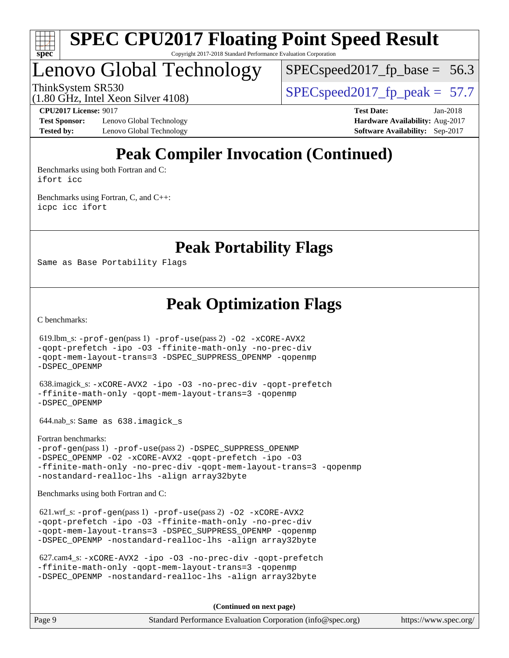

## Lenovo Global Technology

 $SPECspeed2017_fp\_base = 56.3$ 

(1.80 GHz, Intel Xeon Silver 4108)

ThinkSystem SR530<br>(1.80 GHz, Intel Year Silver 4108) [SPECspeed2017\\_fp\\_peak =](http://www.spec.org/auto/cpu2017/Docs/result-fields.html#SPECspeed2017fppeak) 57.7

**[Test Sponsor:](http://www.spec.org/auto/cpu2017/Docs/result-fields.html#TestSponsor)** Lenovo Global Technology **[Hardware Availability:](http://www.spec.org/auto/cpu2017/Docs/result-fields.html#HardwareAvailability)** Aug-2017 **[Tested by:](http://www.spec.org/auto/cpu2017/Docs/result-fields.html#Testedby)** Lenovo Global Technology **[Software Availability:](http://www.spec.org/auto/cpu2017/Docs/result-fields.html#SoftwareAvailability)** Sep-2017

**[CPU2017 License:](http://www.spec.org/auto/cpu2017/Docs/result-fields.html#CPU2017License)** 9017 **[Test Date:](http://www.spec.org/auto/cpu2017/Docs/result-fields.html#TestDate)** Jan-2018

### **[Peak Compiler Invocation \(Continued\)](http://www.spec.org/auto/cpu2017/Docs/result-fields.html#PeakCompilerInvocation)**

[Benchmarks using both Fortran and C](http://www.spec.org/auto/cpu2017/Docs/result-fields.html#BenchmarksusingbothFortranandC): [ifort](http://www.spec.org/cpu2017/results/res2018q1/cpu2017-20180108-02587.flags.html#user_CC_FCpeak_intel_ifort_18.0_8111460550e3ca792625aed983ce982f94888b8b503583aa7ba2b8303487b4d8a21a13e7191a45c5fd58ff318f48f9492884d4413fa793fd88dd292cad7027ca) [icc](http://www.spec.org/cpu2017/results/res2018q1/cpu2017-20180108-02587.flags.html#user_CC_FCpeak_intel_icc_18.0_66fc1ee009f7361af1fbd72ca7dcefbb700085f36577c54f309893dd4ec40d12360134090235512931783d35fd58c0460139e722d5067c5574d8eaf2b3e37e92)

[Benchmarks using Fortran, C, and C++:](http://www.spec.org/auto/cpu2017/Docs/result-fields.html#BenchmarksusingFortranCandCXX) [icpc](http://www.spec.org/cpu2017/results/res2018q1/cpu2017-20180108-02587.flags.html#user_CC_CXX_FCpeak_intel_icpc_18.0_c510b6838c7f56d33e37e94d029a35b4a7bccf4766a728ee175e80a419847e808290a9b78be685c44ab727ea267ec2f070ec5dc83b407c0218cded6866a35d07) [icc](http://www.spec.org/cpu2017/results/res2018q1/cpu2017-20180108-02587.flags.html#user_CC_CXX_FCpeak_intel_icc_18.0_66fc1ee009f7361af1fbd72ca7dcefbb700085f36577c54f309893dd4ec40d12360134090235512931783d35fd58c0460139e722d5067c5574d8eaf2b3e37e92) [ifort](http://www.spec.org/cpu2017/results/res2018q1/cpu2017-20180108-02587.flags.html#user_CC_CXX_FCpeak_intel_ifort_18.0_8111460550e3ca792625aed983ce982f94888b8b503583aa7ba2b8303487b4d8a21a13e7191a45c5fd58ff318f48f9492884d4413fa793fd88dd292cad7027ca)

**[Peak Portability Flags](http://www.spec.org/auto/cpu2017/Docs/result-fields.html#PeakPortabilityFlags)**

Same as Base Portability Flags

**[Peak Optimization Flags](http://www.spec.org/auto/cpu2017/Docs/result-fields.html#PeakOptimizationFlags)**

[C benchmarks](http://www.spec.org/auto/cpu2017/Docs/result-fields.html#Cbenchmarks):

 619.lbm\_s: [-prof-gen](http://www.spec.org/cpu2017/results/res2018q1/cpu2017-20180108-02587.flags.html#user_peakPASS1_CFLAGSPASS1_LDFLAGS619_lbm_s_prof_gen_5aa4926d6013ddb2a31985c654b3eb18169fc0c6952a63635c234f711e6e63dd76e94ad52365559451ec499a2cdb89e4dc58ba4c67ef54ca681ffbe1461d6b36)(pass 1) [-prof-use](http://www.spec.org/cpu2017/results/res2018q1/cpu2017-20180108-02587.flags.html#user_peakPASS2_CFLAGSPASS2_LDFLAGS619_lbm_s_prof_use_1a21ceae95f36a2b53c25747139a6c16ca95bd9def2a207b4f0849963b97e94f5260e30a0c64f4bb623698870e679ca08317ef8150905d41bd88c6f78df73f19)(pass 2) [-O2](http://www.spec.org/cpu2017/results/res2018q1/cpu2017-20180108-02587.flags.html#user_peakPASS1_COPTIMIZE619_lbm_s_f-O2) [-xCORE-AVX2](http://www.spec.org/cpu2017/results/res2018q1/cpu2017-20180108-02587.flags.html#user_peakPASS2_COPTIMIZE619_lbm_s_f-xCORE-AVX2) [-qopt-prefetch](http://www.spec.org/cpu2017/results/res2018q1/cpu2017-20180108-02587.flags.html#user_peakPASS1_COPTIMIZEPASS2_COPTIMIZE619_lbm_s_f-qopt-prefetch) [-ipo](http://www.spec.org/cpu2017/results/res2018q1/cpu2017-20180108-02587.flags.html#user_peakPASS2_COPTIMIZE619_lbm_s_f-ipo) [-O3](http://www.spec.org/cpu2017/results/res2018q1/cpu2017-20180108-02587.flags.html#user_peakPASS2_COPTIMIZE619_lbm_s_f-O3) [-ffinite-math-only](http://www.spec.org/cpu2017/results/res2018q1/cpu2017-20180108-02587.flags.html#user_peakPASS1_COPTIMIZEPASS2_COPTIMIZE619_lbm_s_f_finite_math_only_cb91587bd2077682c4b38af759c288ed7c732db004271a9512da14a4f8007909a5f1427ecbf1a0fb78ff2a814402c6114ac565ca162485bbcae155b5e4258871) [-no-prec-div](http://www.spec.org/cpu2017/results/res2018q1/cpu2017-20180108-02587.flags.html#user_peakPASS2_COPTIMIZE619_lbm_s_f-no-prec-div) [-qopt-mem-layout-trans=3](http://www.spec.org/cpu2017/results/res2018q1/cpu2017-20180108-02587.flags.html#user_peakPASS1_COPTIMIZEPASS2_COPTIMIZE619_lbm_s_f-qopt-mem-layout-trans_de80db37974c74b1f0e20d883f0b675c88c3b01e9d123adea9b28688d64333345fb62bc4a798493513fdb68f60282f9a726aa07f478b2f7113531aecce732043) [-DSPEC\\_SUPPRESS\\_OPENMP](http://www.spec.org/cpu2017/results/res2018q1/cpu2017-20180108-02587.flags.html#suite_peakPASS1_COPTIMIZE619_lbm_s_DSPEC_SUPPRESS_OPENMP) [-qopenmp](http://www.spec.org/cpu2017/results/res2018q1/cpu2017-20180108-02587.flags.html#user_peakPASS2_COPTIMIZE619_lbm_s_qopenmp_16be0c44f24f464004c6784a7acb94aca937f053568ce72f94b139a11c7c168634a55f6653758ddd83bcf7b8463e8028bb0b48b77bcddc6b78d5d95bb1df2967) [-DSPEC\\_OPENMP](http://www.spec.org/cpu2017/results/res2018q1/cpu2017-20180108-02587.flags.html#suite_peakPASS2_COPTIMIZE619_lbm_s_DSPEC_OPENMP) 638.imagick\_s: [-xCORE-AVX2](http://www.spec.org/cpu2017/results/res2018q1/cpu2017-20180108-02587.flags.html#user_peakCOPTIMIZE638_imagick_s_f-xCORE-AVX2) [-ipo](http://www.spec.org/cpu2017/results/res2018q1/cpu2017-20180108-02587.flags.html#user_peakCOPTIMIZE638_imagick_s_f-ipo) [-O3](http://www.spec.org/cpu2017/results/res2018q1/cpu2017-20180108-02587.flags.html#user_peakCOPTIMIZE638_imagick_s_f-O3) [-no-prec-div](http://www.spec.org/cpu2017/results/res2018q1/cpu2017-20180108-02587.flags.html#user_peakCOPTIMIZE638_imagick_s_f-no-prec-div) [-qopt-prefetch](http://www.spec.org/cpu2017/results/res2018q1/cpu2017-20180108-02587.flags.html#user_peakCOPTIMIZE638_imagick_s_f-qopt-prefetch) [-ffinite-math-only](http://www.spec.org/cpu2017/results/res2018q1/cpu2017-20180108-02587.flags.html#user_peakCOPTIMIZE638_imagick_s_f_finite_math_only_cb91587bd2077682c4b38af759c288ed7c732db004271a9512da14a4f8007909a5f1427ecbf1a0fb78ff2a814402c6114ac565ca162485bbcae155b5e4258871) [-qopt-mem-layout-trans=3](http://www.spec.org/cpu2017/results/res2018q1/cpu2017-20180108-02587.flags.html#user_peakCOPTIMIZE638_imagick_s_f-qopt-mem-layout-trans_de80db37974c74b1f0e20d883f0b675c88c3b01e9d123adea9b28688d64333345fb62bc4a798493513fdb68f60282f9a726aa07f478b2f7113531aecce732043) [-qopenmp](http://www.spec.org/cpu2017/results/res2018q1/cpu2017-20180108-02587.flags.html#user_peakCOPTIMIZE638_imagick_s_qopenmp_16be0c44f24f464004c6784a7acb94aca937f053568ce72f94b139a11c7c168634a55f6653758ddd83bcf7b8463e8028bb0b48b77bcddc6b78d5d95bb1df2967) [-DSPEC\\_OPENMP](http://www.spec.org/cpu2017/results/res2018q1/cpu2017-20180108-02587.flags.html#suite_peakCOPTIMIZE638_imagick_s_DSPEC_OPENMP) 644.nab\_s: Same as 638.imagick\_s [Fortran benchmarks](http://www.spec.org/auto/cpu2017/Docs/result-fields.html#Fortranbenchmarks): [-prof-gen](http://www.spec.org/cpu2017/results/res2018q1/cpu2017-20180108-02587.flags.html#user_FCpeak_prof_gen_5aa4926d6013ddb2a31985c654b3eb18169fc0c6952a63635c234f711e6e63dd76e94ad52365559451ec499a2cdb89e4dc58ba4c67ef54ca681ffbe1461d6b36)(pass 1) [-prof-use](http://www.spec.org/cpu2017/results/res2018q1/cpu2017-20180108-02587.flags.html#user_FCpeak_prof_use_1a21ceae95f36a2b53c25747139a6c16ca95bd9def2a207b4f0849963b97e94f5260e30a0c64f4bb623698870e679ca08317ef8150905d41bd88c6f78df73f19)(pass 2) [-DSPEC\\_SUPPRESS\\_OPENMP](http://www.spec.org/cpu2017/results/res2018q1/cpu2017-20180108-02587.flags.html#suite_FCpeak_DSPEC_SUPPRESS_OPENMP) [-DSPEC\\_OPENMP](http://www.spec.org/cpu2017/results/res2018q1/cpu2017-20180108-02587.flags.html#suite_FCpeak_DSPEC_OPENMP) [-O2](http://www.spec.org/cpu2017/results/res2018q1/cpu2017-20180108-02587.flags.html#user_FCpeak_f-O2) [-xCORE-AVX2](http://www.spec.org/cpu2017/results/res2018q1/cpu2017-20180108-02587.flags.html#user_FCpeak_f-xCORE-AVX2) [-qopt-prefetch](http://www.spec.org/cpu2017/results/res2018q1/cpu2017-20180108-02587.flags.html#user_FCpeak_f-qopt-prefetch) [-ipo](http://www.spec.org/cpu2017/results/res2018q1/cpu2017-20180108-02587.flags.html#user_FCpeak_f-ipo) [-O3](http://www.spec.org/cpu2017/results/res2018q1/cpu2017-20180108-02587.flags.html#user_FCpeak_f-O3) [-ffinite-math-only](http://www.spec.org/cpu2017/results/res2018q1/cpu2017-20180108-02587.flags.html#user_FCpeak_f_finite_math_only_cb91587bd2077682c4b38af759c288ed7c732db004271a9512da14a4f8007909a5f1427ecbf1a0fb78ff2a814402c6114ac565ca162485bbcae155b5e4258871) [-no-prec-div](http://www.spec.org/cpu2017/results/res2018q1/cpu2017-20180108-02587.flags.html#user_FCpeak_f-no-prec-div) [-qopt-mem-layout-trans=3](http://www.spec.org/cpu2017/results/res2018q1/cpu2017-20180108-02587.flags.html#user_FCpeak_f-qopt-mem-layout-trans_de80db37974c74b1f0e20d883f0b675c88c3b01e9d123adea9b28688d64333345fb62bc4a798493513fdb68f60282f9a726aa07f478b2f7113531aecce732043) [-qopenmp](http://www.spec.org/cpu2017/results/res2018q1/cpu2017-20180108-02587.flags.html#user_FCpeak_qopenmp_16be0c44f24f464004c6784a7acb94aca937f053568ce72f94b139a11c7c168634a55f6653758ddd83bcf7b8463e8028bb0b48b77bcddc6b78d5d95bb1df2967) [-nostandard-realloc-lhs](http://www.spec.org/cpu2017/results/res2018q1/cpu2017-20180108-02587.flags.html#user_FCpeak_f_2003_std_realloc_82b4557e90729c0f113870c07e44d33d6f5a304b4f63d4c15d2d0f1fab99f5daaed73bdb9275d9ae411527f28b936061aa8b9c8f2d63842963b95c9dd6426b8a) [-align array32byte](http://www.spec.org/cpu2017/results/res2018q1/cpu2017-20180108-02587.flags.html#user_FCpeak_align_array32byte_b982fe038af199962ba9a80c053b8342c548c85b40b8e86eb3cc33dee0d7986a4af373ac2d51c3f7cf710a18d62fdce2948f201cd044323541f22fc0fffc51b6) [Benchmarks using both Fortran and C](http://www.spec.org/auto/cpu2017/Docs/result-fields.html#BenchmarksusingbothFortranandC): 621.wrf\_s: [-prof-gen](http://www.spec.org/cpu2017/results/res2018q1/cpu2017-20180108-02587.flags.html#user_peakPASS1_CFLAGSPASS1_FFLAGSPASS1_LDFLAGS621_wrf_s_prof_gen_5aa4926d6013ddb2a31985c654b3eb18169fc0c6952a63635c234f711e6e63dd76e94ad52365559451ec499a2cdb89e4dc58ba4c67ef54ca681ffbe1461d6b36)(pass 1) [-prof-use](http://www.spec.org/cpu2017/results/res2018q1/cpu2017-20180108-02587.flags.html#user_peakPASS2_CFLAGSPASS2_FFLAGSPASS2_LDFLAGS621_wrf_s_prof_use_1a21ceae95f36a2b53c25747139a6c16ca95bd9def2a207b4f0849963b97e94f5260e30a0c64f4bb623698870e679ca08317ef8150905d41bd88c6f78df73f19)(pass 2) [-O2](http://www.spec.org/cpu2017/results/res2018q1/cpu2017-20180108-02587.flags.html#user_peakPASS1_COPTIMIZEPASS1_FOPTIMIZE621_wrf_s_f-O2) [-xCORE-AVX2](http://www.spec.org/cpu2017/results/res2018q1/cpu2017-20180108-02587.flags.html#user_peakPASS2_COPTIMIZEPASS2_FOPTIMIZE621_wrf_s_f-xCORE-AVX2) [-qopt-prefetch](http://www.spec.org/cpu2017/results/res2018q1/cpu2017-20180108-02587.flags.html#user_peakPASS1_COPTIMIZEPASS1_FOPTIMIZEPASS2_COPTIMIZEPASS2_FOPTIMIZE621_wrf_s_f-qopt-prefetch) [-ipo](http://www.spec.org/cpu2017/results/res2018q1/cpu2017-20180108-02587.flags.html#user_peakPASS2_COPTIMIZEPASS2_FOPTIMIZE621_wrf_s_f-ipo) [-O3](http://www.spec.org/cpu2017/results/res2018q1/cpu2017-20180108-02587.flags.html#user_peakPASS2_COPTIMIZEPASS2_FOPTIMIZE621_wrf_s_f-O3) [-ffinite-math-only](http://www.spec.org/cpu2017/results/res2018q1/cpu2017-20180108-02587.flags.html#user_peakPASS1_COPTIMIZEPASS1_FOPTIMIZEPASS2_COPTIMIZEPASS2_FOPTIMIZE621_wrf_s_f_finite_math_only_cb91587bd2077682c4b38af759c288ed7c732db004271a9512da14a4f8007909a5f1427ecbf1a0fb78ff2a814402c6114ac565ca162485bbcae155b5e4258871) [-no-prec-div](http://www.spec.org/cpu2017/results/res2018q1/cpu2017-20180108-02587.flags.html#user_peakPASS2_COPTIMIZEPASS2_FOPTIMIZE621_wrf_s_f-no-prec-div) [-qopt-mem-layout-trans=3](http://www.spec.org/cpu2017/results/res2018q1/cpu2017-20180108-02587.flags.html#user_peakPASS1_COPTIMIZEPASS1_FOPTIMIZEPASS2_COPTIMIZEPASS2_FOPTIMIZE621_wrf_s_f-qopt-mem-layout-trans_de80db37974c74b1f0e20d883f0b675c88c3b01e9d123adea9b28688d64333345fb62bc4a798493513fdb68f60282f9a726aa07f478b2f7113531aecce732043) [-DSPEC\\_SUPPRESS\\_OPENMP](http://www.spec.org/cpu2017/results/res2018q1/cpu2017-20180108-02587.flags.html#suite_peakPASS1_COPTIMIZEPASS1_FOPTIMIZE621_wrf_s_DSPEC_SUPPRESS_OPENMP) [-qopenmp](http://www.spec.org/cpu2017/results/res2018q1/cpu2017-20180108-02587.flags.html#user_peakPASS2_COPTIMIZEPASS2_FOPTIMIZE621_wrf_s_qopenmp_16be0c44f24f464004c6784a7acb94aca937f053568ce72f94b139a11c7c168634a55f6653758ddd83bcf7b8463e8028bb0b48b77bcddc6b78d5d95bb1df2967) [-DSPEC\\_OPENMP](http://www.spec.org/cpu2017/results/res2018q1/cpu2017-20180108-02587.flags.html#suite_peakPASS2_COPTIMIZEPASS2_FOPTIMIZE621_wrf_s_DSPEC_OPENMP) [-nostandard-realloc-lhs](http://www.spec.org/cpu2017/results/res2018q1/cpu2017-20180108-02587.flags.html#user_peakEXTRA_FOPTIMIZE621_wrf_s_f_2003_std_realloc_82b4557e90729c0f113870c07e44d33d6f5a304b4f63d4c15d2d0f1fab99f5daaed73bdb9275d9ae411527f28b936061aa8b9c8f2d63842963b95c9dd6426b8a) [-align array32byte](http://www.spec.org/cpu2017/results/res2018q1/cpu2017-20180108-02587.flags.html#user_peakEXTRA_FOPTIMIZE621_wrf_s_align_array32byte_b982fe038af199962ba9a80c053b8342c548c85b40b8e86eb3cc33dee0d7986a4af373ac2d51c3f7cf710a18d62fdce2948f201cd044323541f22fc0fffc51b6)

 627.cam4\_s: [-xCORE-AVX2](http://www.spec.org/cpu2017/results/res2018q1/cpu2017-20180108-02587.flags.html#user_peakCOPTIMIZEFOPTIMIZE627_cam4_s_f-xCORE-AVX2) [-ipo](http://www.spec.org/cpu2017/results/res2018q1/cpu2017-20180108-02587.flags.html#user_peakCOPTIMIZEFOPTIMIZE627_cam4_s_f-ipo) [-O3](http://www.spec.org/cpu2017/results/res2018q1/cpu2017-20180108-02587.flags.html#user_peakCOPTIMIZEFOPTIMIZE627_cam4_s_f-O3) [-no-prec-div](http://www.spec.org/cpu2017/results/res2018q1/cpu2017-20180108-02587.flags.html#user_peakCOPTIMIZEFOPTIMIZE627_cam4_s_f-no-prec-div) [-qopt-prefetch](http://www.spec.org/cpu2017/results/res2018q1/cpu2017-20180108-02587.flags.html#user_peakCOPTIMIZEFOPTIMIZE627_cam4_s_f-qopt-prefetch) [-ffinite-math-only](http://www.spec.org/cpu2017/results/res2018q1/cpu2017-20180108-02587.flags.html#user_peakCOPTIMIZEFOPTIMIZE627_cam4_s_f_finite_math_only_cb91587bd2077682c4b38af759c288ed7c732db004271a9512da14a4f8007909a5f1427ecbf1a0fb78ff2a814402c6114ac565ca162485bbcae155b5e4258871) [-qopt-mem-layout-trans=3](http://www.spec.org/cpu2017/results/res2018q1/cpu2017-20180108-02587.flags.html#user_peakCOPTIMIZEFOPTIMIZE627_cam4_s_f-qopt-mem-layout-trans_de80db37974c74b1f0e20d883f0b675c88c3b01e9d123adea9b28688d64333345fb62bc4a798493513fdb68f60282f9a726aa07f478b2f7113531aecce732043) [-qopenmp](http://www.spec.org/cpu2017/results/res2018q1/cpu2017-20180108-02587.flags.html#user_peakCOPTIMIZEFOPTIMIZE627_cam4_s_qopenmp_16be0c44f24f464004c6784a7acb94aca937f053568ce72f94b139a11c7c168634a55f6653758ddd83bcf7b8463e8028bb0b48b77bcddc6b78d5d95bb1df2967) [-DSPEC\\_OPENMP](http://www.spec.org/cpu2017/results/res2018q1/cpu2017-20180108-02587.flags.html#suite_peakCOPTIMIZEFOPTIMIZE627_cam4_s_DSPEC_OPENMP) [-nostandard-realloc-lhs](http://www.spec.org/cpu2017/results/res2018q1/cpu2017-20180108-02587.flags.html#user_peakEXTRA_FOPTIMIZE627_cam4_s_f_2003_std_realloc_82b4557e90729c0f113870c07e44d33d6f5a304b4f63d4c15d2d0f1fab99f5daaed73bdb9275d9ae411527f28b936061aa8b9c8f2d63842963b95c9dd6426b8a) [-align array32byte](http://www.spec.org/cpu2017/results/res2018q1/cpu2017-20180108-02587.flags.html#user_peakEXTRA_FOPTIMIZE627_cam4_s_align_array32byte_b982fe038af199962ba9a80c053b8342c548c85b40b8e86eb3cc33dee0d7986a4af373ac2d51c3f7cf710a18d62fdce2948f201cd044323541f22fc0fffc51b6)

**(Continued on next page)**